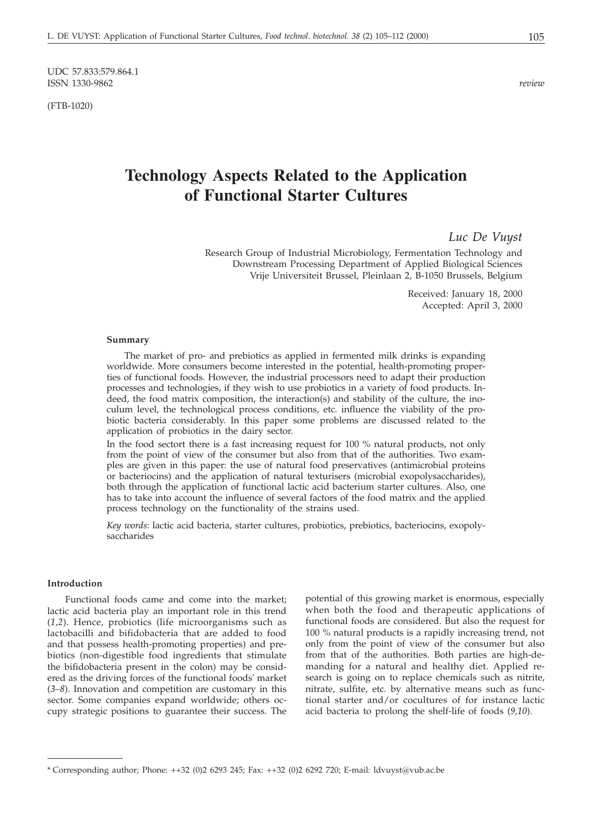UDC 57.833:579.864.1 ISSN 1330-9862 *review*

(FTB-1020)

# **Technology Aspects Related to the Application of Functional Starter Cultures**

*Luc De Vuyst*

Research Group of Industrial Microbiology, Fermentation Technology and Downstream Processing Department of Applied Biological Sciences Vrije Universiteit Brussel, Pleinlaan 2, B-1050 Brussels, Belgium

> Received: January 18, 2000 Accepted: April 3, 2000

#### **Summary**

The market of pro- and prebiotics as applied in fermented milk drinks is expanding worldwide. More consumers become interested in the potential, health-promoting properties of functional foods. However, the industrial processors need to adapt their production processes and technologies, if they wish to use probiotics in a variety of food products. Indeed, the food matrix composition, the interaction(s) and stability of the culture, the inoculum level, the technological process conditions, etc. influence the viability of the probiotic bacteria considerably. In this paper some problems are discussed related to the application of probiotics in the dairy sector.

In the food sectort there is a fast increasing request for 100 % natural products, not only from the point of view of the consumer but also from that of the authorities. Two examples are given in this paper: the use of natural food preservatives (antimicrobial proteins or bacteriocins) and the application of natural texturisers (microbial exopolysaccharides), both through the application of functional lactic acid bacterium starter cultures. Also, one has to take into account the influence of several factors of the food matrix and the applied process technology on the functionality of the strains used.

*Key words*: lactic acid bacteria, starter cultures, probiotics, prebiotics, bacteriocins, exopolysaccharides

#### **Introduction**

Functional foods came and come into the market; lactic acid bacteria play an important role in this trend (*1,2*). Hence, probiotics (life microorganisms such as lactobacilli and bifidobacteria that are added to food and that possess health-promoting properties) and prebiotics (non-digestible food ingredients that stimulate the bifidobacteria present in the colon) may be considered as the driving forces of the functional foods' market (*3–8*). Innovation and competition are customary in this sector. Some companies expand worldwide; others occupy strategic positions to guarantee their success. The

potential of this growing market is enormous, especially when both the food and therapeutic applications of functional foods are considered. But also the request for 100 % natural products is a rapidly increasing trend, not only from the point of view of the consumer but also from that of the authorities. Both parties are high-demanding for a natural and healthy diet. Applied research is going on to replace chemicals such as nitrite, nitrate, sulfite, etc. by alternative means such as functional starter and/or cocultures of for instance lactic acid bacteria to prolong the shelf-life of foods (*9,10*).

<sup>\*</sup> Corresponding author; Phone: ++32 (0)2 6293 245; Fax: ++32 (0)2 6292 720; E-mail: ldvuyst*@*vub.ac.be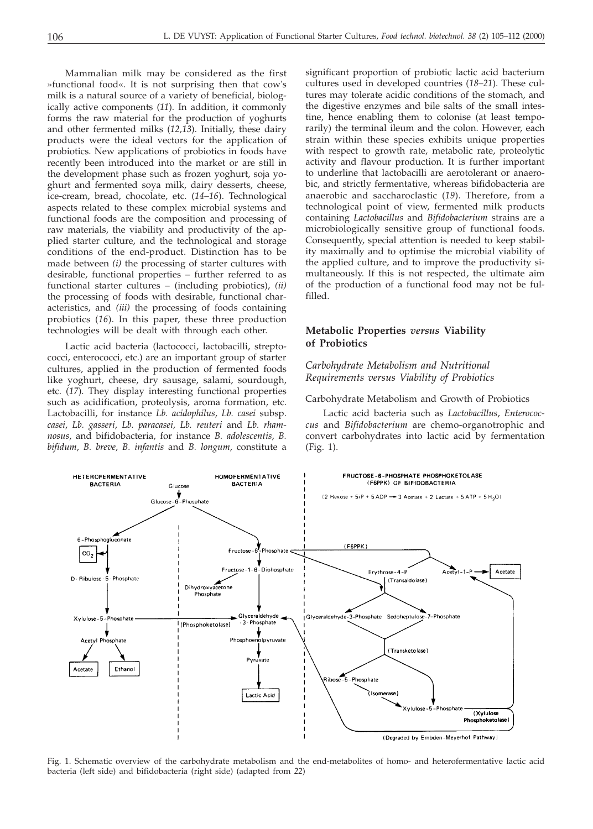Mammalian milk may be considered as the first »functional food«. It is not surprising then that cow's milk is a natural source of a variety of beneficial, biologically active components (*11*). In addition, it commonly forms the raw material for the production of yoghurts and other fermented milks (*12,13*). Initially, these dairy products were the ideal vectors for the application of probiotics. New applications of probiotics in foods have recently been introduced into the market or are still in the development phase such as frozen yoghurt, soja yoghurt and fermented soya milk, dairy desserts, cheese, ice-cream, bread, chocolate, etc. (*14–16*). Technological aspects related to these complex microbial systems and functional foods are the composition and processing of raw materials, the viability and productivity of the applied starter culture, and the technological and storage conditions of the end-product. Distinction has to be made between *(i)* the processing of starter cultures with desirable, functional properties – further referred to as functional starter cultures – (including probiotics), *(ii)* the processing of foods with desirable, functional characteristics, and *(iii)* the processing of foods containing probiotics (*16*). In this paper, these three production technologies will be dealt with through each other.

Lactic acid bacteria (lactococci, lactobacilli, streptococci, enterococci, etc.) are an important group of starter cultures, applied in the production of fermented foods like yoghurt, cheese, dry sausage, salami, sourdough, etc. (*17*). They display interesting functional properties such as acidification, proteolysis, aroma formation, etc. Lactobacilli, for instance *Lb. acidophilus*, *Lb. casei* subsp. *casei*, *Lb. gasseri*, *Lb. paracasei, Lb. reuteri* and *Lb. rhamnosus*, and bifidobacteria, for instance *B. adolescentis*, *B. bifidum*, *B. breve*, *B. infantis* and *B. longum*, constitute a

**HETEROFFRMENTATIVE** 

significant proportion of probiotic lactic acid bacterium cultures used in developed countries (*18–21*). These cultures may tolerate acidic conditions of the stomach, and the digestive enzymes and bile salts of the small intestine, hence enabling them to colonise (at least temporarily) the terminal ileum and the colon. However, each strain within these species exhibits unique properties with respect to growth rate, metabolic rate, proteolytic activity and flavour production. It is further important to underline that lactobacilli are aerotolerant or anaerobic, and strictly fermentative, whereas bifidobacteria are anaerobic and saccharoclastic (*19*). Therefore, from a technological point of view, fermented milk products containing *Lactobacillus* and *Bifidobacterium* strains are a microbiologically sensitive group of functional foods. Consequently, special attention is needed to keep stability maximally and to optimise the microbial viability of the applied culture, and to improve the productivity simultaneously. If this is not respected, the ultimate aim of the production of a functional food may not be fulfilled.

## **Metabolic Properties** *versus* **Viability of Probiotics**

# *Carbohydrate Metabolism and Nutritional Requirements versus Viability of Probiotics*

Carbohydrate Metabolism and Growth of Probiotics

FRUCTOSE-6-PHOSPHATE PHOSPHOKETOLASE

Lactic acid bacteria such as *Lactobacillus*, *Enterococcus* and *Bifidobacterium* are chemo-organotrophic and convert carbohydrates into lactic acid by fermentation (Fig. 1).



**HOMOFFRMENTATIVE** 

Fig. 1. Schematic overview of the carbohydrate metabolism and the end-metabolites of homo- and heterofermentative lactic acid bacteria (left side) and bifidobacteria (right side) (adapted from *22*)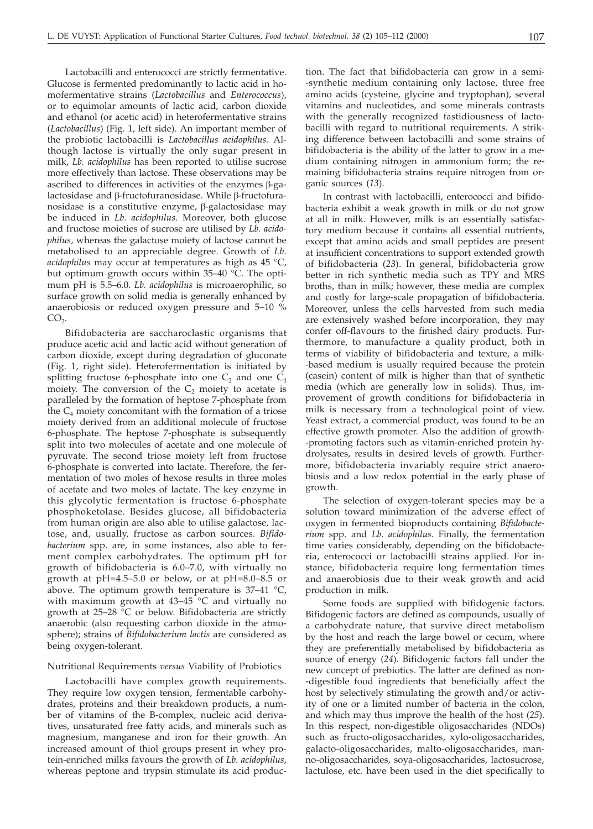Lactobacilli and enterococci are strictly fermentative. Glucose is fermented predominantly to lactic acid in homofermentative strains (*Lactobacillus* and *Enterococcus*), or to equimolar amounts of lactic acid, carbon dioxide and ethanol (or acetic acid) in heterofermentative strains (*Lactobacillus*) (Fig. 1, left side). An important member of the probiotic lactobacilli is *Lactobacillus acidophilus.* Although lactose is virtually the only sugar present in milk, *Lb. acidophilus* has been reported to utilise sucrose more effectively than lactose. These observations may be ascribed to differences in activities of the enzymes  $\beta$ -galactosidase and  $\beta$ -fructofuranosidase. While  $\beta$ -fructofuranosidase is a constitutive enzyme,  $\beta$ -galactosidase may be induced in *Lb. acidophilus.* Moreover, both glucose and fructose moieties of sucrose are utilised by *Lb. acidophilus,* whereas the galactose moiety of lactose cannot be metabolised to an appreciable degree. Growth of *Lb. acidophilus* may occur at temperatures as high as 45 °C, but optimum growth occurs within 35–40 °C. The optimum pH is 5.5–6.0. *Lb. acidophilus* is microaerophilic, so surface growth on solid media is generally enhanced by anaerobiosis or reduced oxygen pressure and 5–10 %  $CO<sub>2</sub>$ .

Bifidobacteria are saccharoclastic organisms that produce acetic acid and lactic acid without generation of carbon dioxide, except during degradation of gluconate (Fig. 1, right side). Heterofermentation is initiated by splitting fructose 6-phosphate into one  $C_2$  and one  $C_4$ moiety. The conversion of the  $C_2$  moiety to acetate is paralleled by the formation of heptose 7-phosphate from the  $C_4$  moiety concomitant with the formation of a triose moiety derived from an additional molecule of fructose 6-phosphate. The heptose 7-phosphate is subsequently split into two molecules of acetate and one molecule of pyruvate. The second triose moiety left from fructose 6-phosphate is converted into lactate. Therefore, the fermentation of two moles of hexose results in three moles of acetate and two moles of lactate. The key enzyme in this glycolytic fermentation is fructose 6-phosphate phosphoketolase. Besides glucose, all bifidobacteria from human origin are also able to utilise galactose, lactose, and, usually, fructose as carbon sources. *Bifidobacterium* spp. are, in some instances, also able to ferment complex carbohydrates. The optimum pH for growth of bifidobacteria is 6.0–7.0, with virtually no growth at pH=4.5–5.0 or below, or at pH=8.0–8.5 or above. The optimum growth temperature is  $37-41$  °C, with maximum growth at  $43-45\degree$ C and virtually no growth at  $25-28$  °C or below. Bifidobacteria are strictly anaerobic (also requesting carbon dioxide in the atmosphere); strains of *Bifidobacterium lactis* are considered as being oxygen-tolerant.

#### Nutritional Requirements *versus* Viability of Probiotics

Lactobacilli have complex growth requirements. They require low oxygen tension, fermentable carbohydrates, proteins and their breakdown products, a number of vitamins of the B-complex, nucleic acid derivatives, unsaturated free fatty acids, and minerals such as magnesium, manganese and iron for their growth. An increased amount of thiol groups present in whey protein-enriched milks favours the growth of *Lb. acidophilus*, whereas peptone and trypsin stimulate its acid production. The fact that bifidobacteria can grow in a semi- -synthetic medium containing only lactose, three free amino acids (cysteine, glycine and tryptophan), several vitamins and nucleotides, and some minerals contrasts with the generally recognized fastidiousness of lactobacilli with regard to nutritional requirements. A striking difference between lactobacilli and some strains of bifidobacteria is the ability of the latter to grow in a medium containing nitrogen in ammonium form; the remaining bifidobacteria strains require nitrogen from organic sources (*13*).

In contrast with lactobacilli, enterococci and bifidobacteria exhibit a weak growth in milk or do not grow at all in milk. However, milk is an essentially satisfactory medium because it contains all essential nutrients, except that amino acids and small peptides are present at insufficient concentrations to support extended growth of bifidobacteria (*23*). In general, bifidobacteria grow better in rich synthetic media such as TPY and MRS broths, than in milk; however, these media are complex and costly for large-scale propagation of bifidobacteria. Moreover, unless the cells harvested from such media are extensively washed before incorporation, they may confer off-flavours to the finished dairy products. Furthermore, to manufacture a quality product, both in terms of viability of bifidobacteria and texture, a milk- -based medium is usually required because the protein (casein) content of milk is higher than that of synthetic media (which are generally low in solids). Thus, improvement of growth conditions for bifidobacteria in milk is necessary from a technological point of view. Yeast extract, a commercial product, was found to be an effective growth promoter. Also the addition of growth- -promoting factors such as vitamin-enriched protein hydrolysates, results in desired levels of growth. Furthermore, bifidobacteria invariably require strict anaerobiosis and a low redox potential in the early phase of growth.

The selection of oxygen-tolerant species may be a solution toward minimization of the adverse effect of oxygen in fermented bioproducts containing *Bifidobacterium* spp. and *Lb. acidophilus*. Finally, the fermentation time varies considerably, depending on the bifidobacteria, enterococci or lactobacilli strains applied. For instance, bifidobacteria require long fermentation times and anaerobiosis due to their weak growth and acid production in milk.

Some foods are supplied with bifidogenic factors. Bifidogenic factors are defined as compounds, usually of a carbohydrate nature, that survive direct metabolism by the host and reach the large bowel or cecum, where they are preferentially metabolised by bifidobacteria as source of energy (*24*). Bifidogenic factors fall under the new concept of prebiotics. The latter are defined as non- -digestible food ingredients that beneficially affect the host by selectively stimulating the growth and/or activity of one or a limited number of bacteria in the colon, and which may thus improve the health of the host (*25*). In this respect, non-digestible oligosaccharides (NDOs) such as fructo-oligosaccharides, xylo-oligosaccharides, galacto-oligosaccharides, malto-oligosaccharides, manno-oligosaccharides, soya-oligosaccharides, lactosucrose, lactulose, etc. have been used in the diet specifically to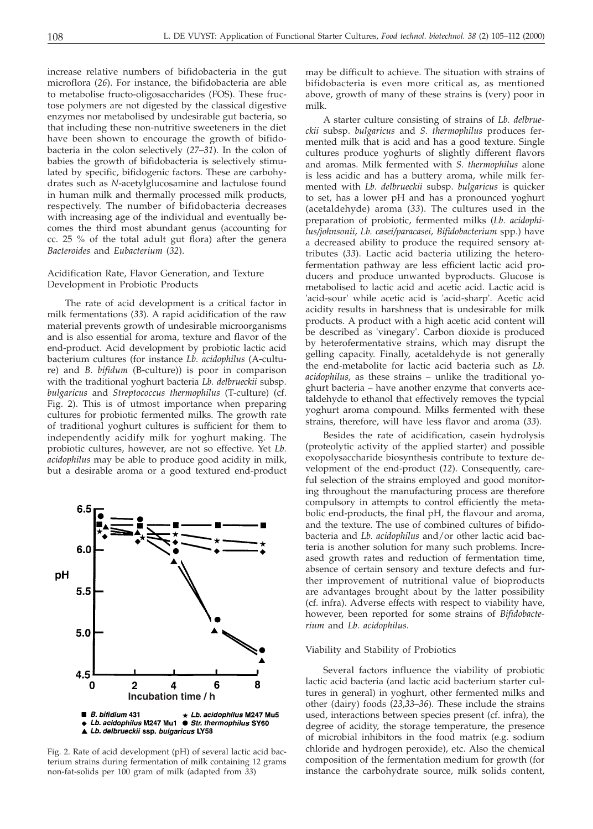increase relative numbers of bifidobacteria in the gut microflora (*26*). For instance, the bifidobacteria are able to metabolise fructo-oligosaccharides (FOS). These fructose polymers are not digested by the classical digestive enzymes nor metabolised by undesirable gut bacteria, so that including these non-nutritive sweeteners in the diet have been shown to encourage the growth of bifidobacteria in the colon selectively (*27–31*). In the colon of babies the growth of bifidobacteria is selectively stimulated by specific, bifidogenic factors. These are carbohydrates such as *N*-acetylglucosamine and lactulose found in human milk and thermally processed milk products, respectively. The number of bifidobacteria decreases with increasing age of the individual and eventually becomes the third most abundant genus (accounting for cc. 25 % of the total adult gut flora) after the genera *Bacteroides* and *Eubacterium* (*32*).

## Acidification Rate, Flavor Generation, and Texture Development in Probiotic Products

The rate of acid development is a critical factor in milk fermentations (*33*). A rapid acidification of the raw material prevents growth of undesirable microorganisms and is also essential for aroma, texture and flavor of the end-product. Acid development by probiotic lactic acid bacterium cultures (for instance *Lb. acidophilus* (A-culture) and *B. bifidum* (B-culture)) is poor in comparison with the traditional yoghurt bacteria *Lb. delbrueckii* subsp. *bulgaricus* and *Streptococcus thermophilus* (T-culture) (cf. Fig. 2). This is of utmost importance when preparing cultures for probiotic fermented milks. The growth rate of traditional yoghurt cultures is sufficient for them to independently acidify milk for yoghurt making. The probiotic cultures, however, are not so effective. Yet *Lb. acidophilus* may be able to produce good acidity in milk, but a desirable aroma or a good textured end-product



Fig. 2. Rate of acid development (pH) of several lactic acid bacterium strains during fermentation of milk containing 12 grams non-fat-solids per 100 gram of milk (adapted from *33*)

may be difficult to achieve. The situation with strains of bifidobacteria is even more critical as, as mentioned above, growth of many of these strains is (very) poor in milk.

A starter culture consisting of strains of *Lb. delbrueckii* subsp. *bulgaricus* and *S. thermophilus* produces fermented milk that is acid and has a good texture. Single cultures produce yoghurts of slightly different flavors and aromas. Milk fermented with *S. thermophilus* alone is less acidic and has a buttery aroma, while milk fermented with *Lb. delbrueckii* subsp. *bulgaricus* is quicker to set, has a lower pH and has a pronounced yoghurt (acetaldehyde) aroma (*33*). The cultures used in the preparation of probiotic, fermented milks (*Lb. acidophilus/johnsonii*, *Lb. casei/paracasei, Bifidobacterium* spp.) have a decreased ability to produce the required sensory attributes (*33*). Lactic acid bacteria utilizing the heterofermentation pathway are less efficient lactic acid producers and produce unwanted byproducts. Glucose is metabolised to lactic acid and acetic acid. Lactic acid is 'acid-sour' while acetic acid is 'acid-sharp'. Acetic acid acidity results in harshness that is undesirable for milk products. A product with a high acetic acid content will be described as 'vinegary'. Carbon dioxide is produced by heterofermentative strains, which may disrupt the gelling capacity. Finally, acetaldehyde is not generally the end-metabolite for lactic acid bacteria such as *Lb. acidophilus,* as these strains – unlike the traditional yoghurt bacteria – have another enzyme that converts acetaldehyde to ethanol that effectively removes the typcial yoghurt aroma compound. Milks fermented with these strains, therefore, will have less flavor and aroma (*33*).

Besides the rate of acidification, casein hydrolysis (proteolytic activity of the applied starter) and possible exopolysaccharide biosynthesis contribute to texture development of the end-product (*12*). Consequently, careful selection of the strains employed and good monitoring throughout the manufacturing process are therefore compulsory in attempts to control efficiently the metabolic end-products, the final pH, the flavour and aroma, and the texture. The use of combined cultures of bifidobacteria and *Lb. acidophilus* and/or other lactic acid bacteria is another solution for many such problems. Increased growth rates and reduction of fermentation time, absence of certain sensory and texture defects and further improvement of nutritional value of bioproducts are advantages brought about by the latter possibility (cf. infra). Adverse effects with respect to viability have, however, been reported for some strains of *Bifidobacterium* and *Lb. acidophilus*.

#### Viability and Stability of Probiotics

Several factors influence the viability of probiotic lactic acid bacteria (and lactic acid bacterium starter cultures in general) in yoghurt, other fermented milks and other (dairy) foods (*23*,*33*–*36*). These include the strains used, interactions between species present (cf. infra), the degree of acidity, the storage temperature, the presence of microbial inhibitors in the food matrix (e.g. sodium chloride and hydrogen peroxide), etc. Also the chemical composition of the fermentation medium for growth (for instance the carbohydrate source, milk solids content,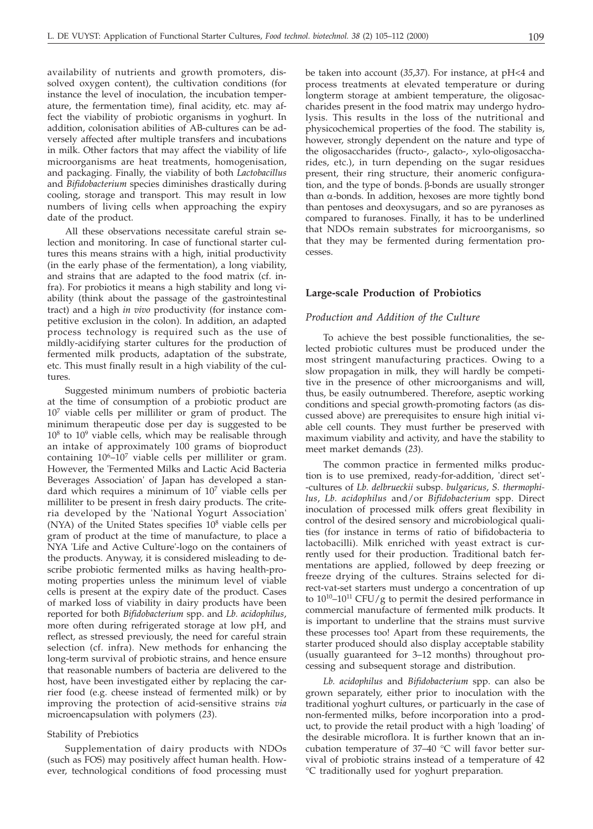availability of nutrients and growth promoters, dissolved oxygen content), the cultivation conditions (for instance the level of inoculation, the incubation temperature, the fermentation time), final acidity, etc. may affect the viability of probiotic organisms in yoghurt. In addition, colonisation abilities of AB-cultures can be adversely affected after multiple transfers and incubations in milk. Other factors that may affect the viability of life microorganisms are heat treatments, homogenisation, and packaging. Finally, the viability of both *Lactobacillus* and *Bifidobacterium* species diminishes drastically during cooling, storage and transport. This may result in low numbers of living cells when approaching the expiry date of the product.

All these observations necessitate careful strain selection and monitoring. In case of functional starter cultures this means strains with a high, initial productivity (in the early phase of the fermentation), a long viability, and strains that are adapted to the food matrix (cf. infra). For probiotics it means a high stability and long viability (think about the passage of the gastrointestinal tract) and a high *in vivo* productivity (for instance competitive exclusion in the colon). In addition, an adapted process technology is required such as the use of mildly-acidifying starter cultures for the production of fermented milk products, adaptation of the substrate, etc. This must finally result in a high viability of the cultures.

Suggested minimum numbers of probiotic bacteria at the time of consumption of a probiotic product are 107 viable cells per milliliter or gram of product. The minimum therapeutic dose per day is suggested to be  $10^8$  to  $10^9$  viable cells, which may be realisable through an intake of approximately 100 grams of bioproduct containing  $10^6$ – $10^7$  viable cells per milliliter or gram. However, the 'Fermented Milks and Lactic Acid Bacteria Beverages Association' of Japan has developed a standard which requires a minimum of  $10<sup>7</sup>$  viable cells per milliliter to be present in fresh dairy products. The criteria developed by the 'National Yogurt Association' (NYA) of the United States specifies  $10<sup>8</sup>$  viable cells per gram of product at the time of manufacture, to place a NYA 'Life and Active Culture'-logo on the containers of the products. Anyway, it is considered misleading to describe probiotic fermented milks as having health-promoting properties unless the minimum level of viable cells is present at the expiry date of the product. Cases of marked loss of viability in dairy products have been reported for both *Bifidobacterium* spp. and *Lb. acidophilus*, more often during refrigerated storage at low pH, and reflect, as stressed previously, the need for careful strain selection (cf. infra). New methods for enhancing the long-term survival of probiotic strains, and hence ensure that reasonable numbers of bacteria are delivered to the host, have been investigated either by replacing the carrier food (e.g. cheese instead of fermented milk) or by improving the protection of acid-sensitive strains *via* microencapsulation with polymers (*23*).

#### Stability of Prebiotics

Supplementation of dairy products with NDOs (such as FOS) may positively affect human health. However, technological conditions of food processing must be taken into account (*35*,*37*). For instance, at pH<4 and process treatments at elevated temperature or during longterm storage at ambient temperature, the oligosaccharides present in the food matrix may undergo hydrolysis. This results in the loss of the nutritional and physicochemical properties of the food. The stability is, however, strongly dependent on the nature and type of the oligosaccharides (fructo-, galacto-, xylo-oligosaccharides, etc.), in turn depending on the sugar residues present, their ring structure, their anomeric configuration, and the type of bonds.  $\beta$ -bonds are usually stronger than  $\alpha$ -bonds. In addition, hexoses are more tightly bond than pentoses and deoxysugars, and so are pyranoses as compared to furanoses. Finally, it has to be underlined that NDOs remain substrates for microorganisms, so that they may be fermented during fermentation processes.

## **Large-scale Production of Probiotics**

## *Production and Addition of the Culture*

To achieve the best possible functionalities, the selected probiotic cultures must be produced under the most stringent manufacturing practices. Owing to a slow propagation in milk, they will hardly be competitive in the presence of other microorganisms and will, thus, be easily outnumbered. Therefore, aseptic working conditions and special growth-promoting factors (as discussed above) are prerequisites to ensure high initial viable cell counts. They must further be preserved with maximum viability and activity, and have the stability to meet market demands (*23*).

The common practice in fermented milks production is to use premixed, ready-for-addition, 'direct set'- -cultures of *Lb. delbrueckii* subsp. *bulgaricus*, *S. thermophilus*, *Lb. acidophilus* and/or *Bifidobacterium* spp. Direct inoculation of processed milk offers great flexibility in control of the desired sensory and microbiological qualities (for instance in terms of ratio of bifidobacteria to lactobacilli). Milk enriched with yeast extract is currently used for their production. Traditional batch fermentations are applied, followed by deep freezing or freeze drying of the cultures. Strains selected for direct-vat-set starters must undergo a concentration of up to  $10^{10}$ – $10^{11}$  CFU/g to permit the desired performance in commercial manufacture of fermented milk products. It is important to underline that the strains must survive these processes too! Apart from these requirements, the starter produced should also display acceptable stability (usually guaranteed for 3–12 months) throughout processing and subsequent storage and distribution.

*Lb. acidophilus* and *Bifidobacterium* spp. can also be grown separately, either prior to inoculation with the traditional yoghurt cultures, or particuarly in the case of non-fermented milks, before incorporation into a product, to provide the retail product with a high 'loading' of the desirable microflora. It is further known that an incubation temperature of 37–40 °C will favor better survival of probiotic strains instead of a temperature of 42 °C traditionally used for yoghurt preparation.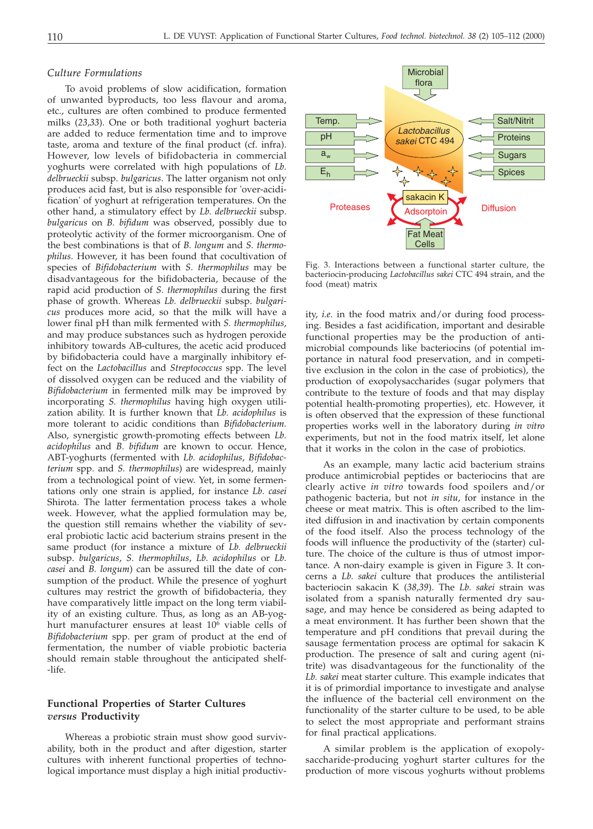## *Culture Formulations*

To avoid problems of slow acidification, formation of unwanted byproducts, too less flavour and aroma, etc., cultures are often combined to produce fermented milks (*23*,*33*). One or both traditional yoghurt bacteria are added to reduce fermentation time and to improve taste, aroma and texture of the final product (cf. infra). However, low levels of bifidobacteria in commercial yoghurts were correlated with high populations of *Lb. delbrueckii* subsp. *bulgaricus*. The latter organism not only produces acid fast, but is also responsible for 'over-acidification' of yoghurt at refrigeration temperatures. On the other hand, a stimulatory effect by *Lb. delbrueckii* subsp. *bulgaricus* on *B. bifidum* was observed, possibly due to proteolytic activity of the former microorganism. One of the best combinations is that of *B. longum* and *S. thermophilus*. However, it has been found that cocultivation of species of *Bifidobacterium* with *S. thermophilus* may be disadvantageous for the bifidobacteria, because of the rapid acid production of *S. thermophilus* during the first phase of growth. Whereas *Lb. delbrueckii* subsp. *bulgaricus* produces more acid, so that the milk will have a lower final pH than milk fermented with *S. thermophilus*, and may produce substances such as hydrogen peroxide inhibitory towards AB-cultures, the acetic acid produced by bifidobacteria could have a marginally inhibitory effect on the *Lactobacillus* and *Streptococcus* spp. The level of dissolved oxygen can be reduced and the viability of *Bifidobacterium* in fermented milk may be improved by incorporating *S. thermophilus* having high oxygen utilization ability. It is further known that *Lb. acidophilus* is more tolerant to acidic conditions than *Bifidobacterium.* Also, synergistic growth-promoting effects between *Lb. acidophilus* and *B. bifidum* are known to occur. Hence, ABT-yoghurts (fermented with *Lb. acidophilus*, *Bifidobacterium* spp. and *S. thermophilus*) are widespread, mainly from a technological point of view. Yet, in some fermentations only one strain is applied, for instance *Lb. casei* Shirota. The latter fermentation process takes a whole week. However, what the applied formulation may be, the question still remains whether the viability of several probiotic lactic acid bacterium strains present in the same product (for instance a mixture of *Lb. delbrueckii* subsp. *bulgaricus*, *S. thermophilus*, *Lb. acidophilus* or *Lb. casei* and *B. longum*) can be assured till the date of consumption of the product. While the presence of yoghurt cultures may restrict the growth of bifidobacteria, they have comparatively little impact on the long term viability of an existing culture. Thus, as long as an AB-yoghurt manufacturer ensures at least  $10^6$  viable cells of *Bifidobacterium* spp. per gram of product at the end of fermentation, the number of viable probiotic bacteria should remain stable throughout the anticipated shelf- -life.

# **Functional Properties of Starter Cultures** *versus* **Productivity**

Whereas a probiotic strain must show good survivability, both in the product and after digestion, starter cultures with inherent functional properties of technological importance must display a high initial productiv-



Fig. 3. Interactions between a functional starter culture, the bacteriocin-producing *Lactobacillus sakei* CTC 494 strain, and the food (meat) matrix

ity, *i.e*. in the food matrix and/or during food processing. Besides a fast acidification, important and desirable functional properties may be the production of antimicrobial compounds like bacteriocins (of potential importance in natural food preservation, and in competitive exclusion in the colon in the case of probiotics), the production of exopolysaccharides (sugar polymers that contribute to the texture of foods and that may display potential health-promoting properties), etc. However, it is often observed that the expression of these functional properties works well in the laboratory during *in vitro* experiments, but not in the food matrix itself, let alone that it works in the colon in the case of probiotics.

As an example, many lactic acid bacterium strains produce antimicrobial peptides or bacteriocins that are clearly active *in vitro* towards food spoilers and/or pathogenic bacteria, but not *in situ*, for instance in the cheese or meat matrix. This is often ascribed to the limited diffusion in and inactivation by certain components of the food itself. Also the process technology of the foods will influence the productivity of the (starter) culture. The choice of the culture is thus of utmost importance. A non-dairy example is given in Figure 3. It concerns a *Lb. sakei* culture that produces the antilisterial bacteriocin sakacin K (*38*,*39*). The *Lb. sakei* strain was isolated from a spanish naturally fermented dry sausage, and may hence be considered as being adapted to a meat environment. It has further been shown that the temperature and pH conditions that prevail during the sausage fermentation process are optimal for sakacin K production. The presence of salt and curing agent (nitrite) was disadvantageous for the functionality of the *Lb. sakei* meat starter culture. This example indicates that it is of primordial importance to investigate and analyse the influence of the bacterial cell environment on the functionality of the starter culture to be used, to be able to select the most appropriate and performant strains for final practical applications.

A similar problem is the application of exopolysaccharide-producing yoghurt starter cultures for the production of more viscous yoghurts without problems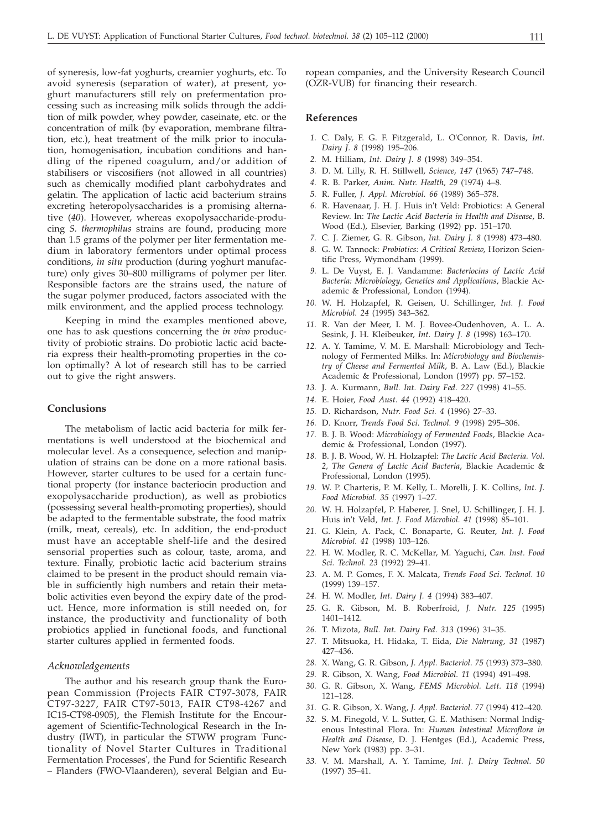of syneresis, low-fat yoghurts, creamier yoghurts, etc. To avoid syneresis (separation of water), at present, yoghurt manufacturers still rely on prefermentation processing such as increasing milk solids through the addition of milk powder, whey powder, caseinate, etc. or the concentration of milk (by evaporation, membrane filtration, etc.), heat treatment of the milk prior to inoculation, homogenisation, incubation conditions and handling of the ripened coagulum, and/or addition of stabilisers or viscosifiers (not allowed in all countries) such as chemically modified plant carbohydrates and gelatin. The application of lactic acid bacterium strains excreting heteropolysaccharides is a promising alternative (*40*). However, whereas exopolysaccharide-producing *S. thermophilus* strains are found, producing more than 1.5 grams of the polymer per liter fermentation medium in laboratory fermentors under optimal process conditions, *in situ* production (during yoghurt manufacture) only gives 30–800 milligrams of polymer per liter. Responsible factors are the strains used, the nature of the sugar polymer produced, factors associated with the milk environment, and the applied process technology.

Keeping in mind the examples mentioned above, one has to ask questions concerning the *in vivo* productivity of probiotic strains. Do probiotic lactic acid bacteria express their health-promoting properties in the colon optimally? A lot of research still has to be carried out to give the right answers.

#### **Conclusions**

The metabolism of lactic acid bacteria for milk fermentations is well understood at the biochemical and molecular level. As a consequence, selection and manipulation of strains can be done on a more rational basis. However, starter cultures to be used for a certain functional property (for instance bacteriocin production and exopolysaccharide production), as well as probiotics (possessing several health-promoting properties), should be adapted to the fermentable substrate, the food matrix (milk, meat, cereals), etc. In addition, the end-product must have an acceptable shelf-life and the desired sensorial properties such as colour, taste, aroma, and texture. Finally, probiotic lactic acid bacterium strains claimed to be present in the product should remain viable in sufficiently high numbers and retain their metabolic activities even beyond the expiry date of the product. Hence, more information is still needed on, for instance, the productivity and functionality of both probiotics applied in functional foods, and functional starter cultures applied in fermented foods.

#### *Acknowledgements*

The author and his research group thank the European Commission (Projects FAIR CT97-3078, FAIR CT97-3227, FAIR CT97-5013, FAIR CT98-4267 and IC15-CT98-0905), the Flemish Institute for the Encouragement of Scientific-Technological Research in the Industry (IWT), in particular the STWW program 'Functionality of Novel Starter Cultures in Traditional Fermentation Processes', the Fund for Scientific Research – Flanders (FWO-Vlaanderen), several Belgian and European companies, and the University Research Council (OZR-VUB) for financing their research.

#### **References**

- *1.* C. Daly, F. G. F. Fitzgerald, L. O'Connor, R. Davis, *Int. Dairy J. 8* (1998) 195–206.
- *2.* M. Hilliam, *Int. Dairy J. 8* (1998) 349–354.
- *3.* D. M. Lilly, R. H. Stillwell, *Science, 147* (1965) 747–748.
- *4.* R. B. Parker, *Anim. Nutr. Health, 29* (1974) 4–8.
- *5.* R. Fuller, *J. Appl. Microbiol. 66* (1989) 365–378.
- *6.* R. Havenaar, J. H. J. Huis in't Veld: Probiotics: A General Review. In: *The Lactic Acid Bacteria in Health and Disease*, B. Wood (Ed.), Elsevier, Barking (1992) pp. 151–170.
- *7.* C. J. Ziemer, G. R. Gibson, *Int. Dairy J. 8* (1998) 473–480.
- *8.* G. W. Tannock: *Probiotics: A Critical Review*, Horizon Scientific Press, Wymondham (1999).
- *9.* L. De Vuyst, E. J. Vandamme: *Bacteriocins of Lactic Acid Bacteria: Microbiology, Genetics and Applications*, Blackie Academic & Professional, London (1994).
- *10.* W. H. Holzapfel, R. Geisen, U. Schillinger, *Int. J. Food Microbiol. 24* (1995) 343–362.
- *11.* R. Van der Meer, I. M. J. Bovee-Oudenhoven, A. L. A. Sesink, J. H. Kleibeuker, *Int. Dairy J. 8* (1998) 163–170.
- *12.* A. Y. Tamime, V. M. E. Marshall: Microbiology and Technology of Fermented Milks. In: *Microbiology and Biochemistry of Cheese and Fermented Milk*, B. A. Law (Ed.), Blackie Academic & Professional, London (1997) pp. 57–152.
- *13.* J. A. Kurmann, *Bull. Int. Dairy Fed. 227* (1998) 41–55.
- *14.* E. Hoier, *Food Aust. 44* (1992) 418–420.
- *15.* D. Richardson, *Nutr. Food Sci. 4* (1996) 27–33.
- *16.* D. Knorr, *Trends Food Sci. Technol. 9* (1998) 295–306.
- *17.* B. J. B. Wood: *Microbiology of Fermented Foods*, Blackie Academic & Professional, London (1997).
- *18.* B. J. B. Wood, W. H. Holzapfel: *The Lactic Acid Bacteria. Vol. 2, The Genera of Lactic Acid Bacteria*, Blackie Academic & Professional, London (1995).
- *19.* W. P. Charteris, P. M. Kelly, L. Morelli, J. K. Collins, *Int. J. Food Microbiol. 35* (1997) 1–27.
- *20.* W. H. Holzapfel, P. Haberer, J. Snel, U. Schillinger, J. H. J. Huis in't Veld, *Int. J. Food Microbiol. 41* (1998) 85–101.
- *21.* G. Klein, A. Pack, C. Bonaparte, G. Reuter, *Int. J. Food Microbiol. 41* (1998) 103–126.
- *22.* H. W. Modler, R. C. McKellar, M. Yaguchi, *Can. Inst. Food Sci. Technol. 23* (1992) 29–41.
- *23.* A. M. P. Gomes, F. X. Malcata, *Trends Food Sci. Technol. 10* (1999) 139–157.
- *24.* H. W. Modler, *Int. Dairy J. 4* (1994) 383–407.
- *25.* G. R. Gibson, M. B. Roberfroid, *J. Nutr. 125* (1995) 1401–1412.
- *26.* T. Mizota, *Bull. Int. Dairy Fed. 313* (1996) 31–35.
- *27.* T. Mitsuoka, H. Hidaka, T. Eida, *Die Nahrung, 31* (1987) 427–436.
- *28.* X. Wang, G. R. Gibson, *J. Appl. Bacteriol. 75* (1993) 373–380.
- *29.* R. Gibson, X. Wang, *Food Microbiol. 11* (1994) 491–498.
- *30.* G. R. Gibson, X. Wang, *FEMS Microbiol. Lett. 118* (1994) 121–128.
- *31.* G. R. Gibson, X. Wang, *J. Appl. Bacteriol. 77* (1994) 412–420.
- *32.* S. M. Finegold, V. L. Sutter, G. E. Mathisen: Normal Indigenous Intestinal Flora. In: *Human Intestinal Microflora in Health and Disease*, D. J. Hentges (Ed.), Academic Press, New York (1983) pp. 3–31.
- *33.* V. M. Marshall, A. Y. Tamime, *Int. J. Dairy Technol. 50* (1997) 35–41.